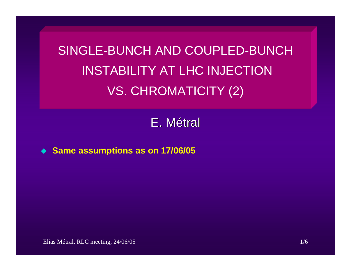SINGLE-BUNCH AND COUPLED-BUNCH INSTABILITY AT LHC INJECTION VS. CHROMATICITY (2)

E. M étral

◆ Same assumptions as on 17/06/05

Elias Métral, RLC meeting, 24/06/05 1/6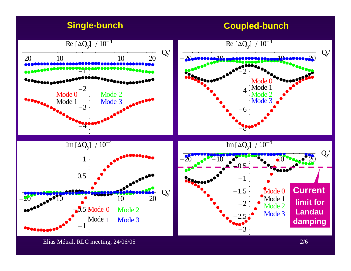## **Single-bunch Coupled-bunch**

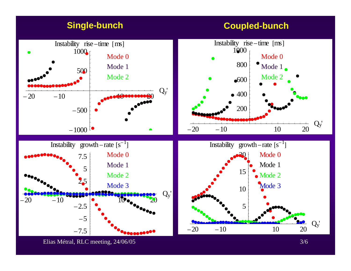

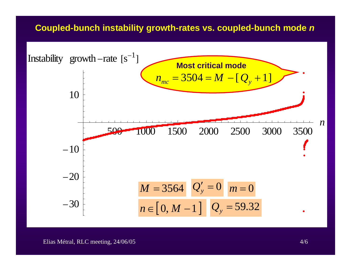### **Coupled-bunch instability growth-rates vs. coupled-bunch mode**  *n*

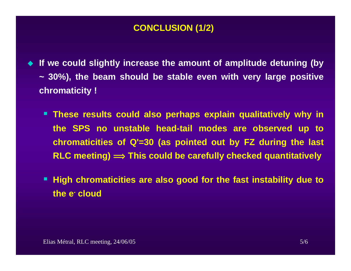## **CONCLUSION (1/2)**

- ♦ **If we could slightly increase the amount of amplitude detuning (by ~ 30%), the beam should be stable even with very large positive chromaticity !**
	- **These results could also perhaps explain qualitatively why in the SPS no unstable head-tail modes are observed up to chromaticities of Q'=30 (as pointed out by FZ during the last RLC meeting) î This could be carefully checked quantitatively**
	- **High chromaticities are also good for the fast instability due to the e- cloud**